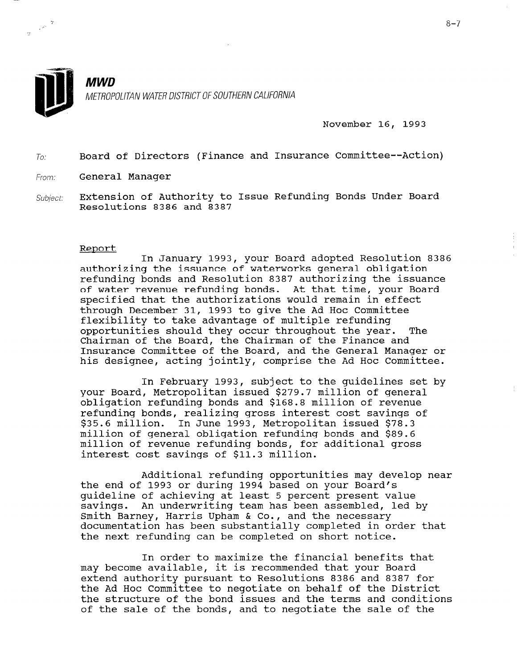

 $\sim 2$ 

**MWD** METROPOLITAN WATER DISTRICT OF SOUTHERN CALIFORNIA

November 16, 1993

 $To:$  Board of Directors (Finance and Insurance Committee--Action)

From: General Manager

Subject: Extension of Authority to Issue Refunding Bonds Under Board Resolutions 8386 and 8387

## Report

In January 1993, your Board adopted Resolution 8386 authorizing the issuance of waterworks general obligation refunding bonds and Resolution 8387 authorizing the issuance of water revenue refunding bonds. At that time, your Board specified that the authorizations would remain in effect through December 31, 1993 to give the Ad Hoc Committee flexibility to take advantage of multiple refunding opportunities should they occur throughout the year. The Chairman of the Board, the Chairman of the Finance and Insurance Committee of the Board, and the General Manager or his designee, acting jointly, comprise the Ad Hoc Committee.

In February 1993, subject to the guidelines set by your Board, Metropolitan issued \$279.7 million of general obligation refunding bonds and \$168.8 million of revenue refunding bonds, realizing gross interest cost savings of \$35.6 million. In June 1993, Metropolitan issued \$78.3 million of general obligation refunding bonds and \$89.6 million of revenue refunding bonds, for additional gross interest cost savings of \$11.3 million.

Additional refunding opportunities may develop near the end of 1993 or during 1994 based on your Board's guideline of achieving at least 5 percent present value savings. An underwriting team has been assembled, led by Smith Barney, Harris Upham & Co., and the necessary documentation has been substantially completed in order that documentation has been substantially completed in order that<br>the next refunding can be completed on short notice.

In order to maximize the financial benefits that may become available, it is recommended that your Board.<br>In OLGE LO MAXIMIZE LIE LINANCIAL DENELLES ( may become available, it is recommended that your Board extend authority pursuant to Resolutions 8386 and 8387 for the Ad Hoc Committee to negotiate on behalf of the District the structure of the bond issues and the terms and conditions<br>of the sale of the bonds, and to negotiate the sale of the